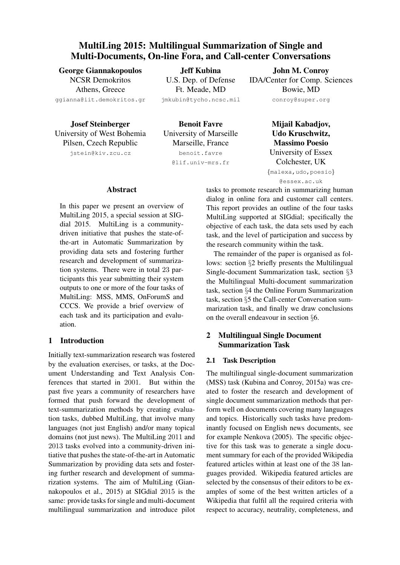# MultiLing 2015: Multilingual Summarization of Single and Multi-Documents, On-line Fora, and Call-center Conversations

George Giannakopoulos NCSR Demokritos Athens, Greece ggianna@iit.demokritos.gr

Jeff Kubina U.S. Dep. of Defense Ft. Meade, MD jmkubin@tycho.ncsc.mil

Josef Steinberger University of West Bohemia Pilsen, Czech Republic jstein@kiv.zcu.cz

Benoit Favre University of Marseille Marseille, France benoit.favre @lif.univ-mrs.fr

John M. Conroy IDA/Center for Comp. Sciences Bowie, MD conroy@super.org

> Mijail Kabadjov, Udo Kruschwitz, Massimo Poesio University of Essex Colchester, UK {malexa,udo,poesio} @essex.ac.uk

Abstract

In this paper we present an overview of MultiLing 2015, a special session at SIGdial 2015. MultiLing is a communitydriven initiative that pushes the state-ofthe-art in Automatic Summarization by providing data sets and fostering further research and development of summarization systems. There were in total 23 participants this year submitting their system outputs to one or more of the four tasks of MultiLing: MSS, MMS, OnForumS and CCCS. We provide a brief overview of each task and its participation and evaluation.

## 1 Introduction

Initially text-summarization research was fostered by the evaluation exercises, or tasks, at the Document Understanding and Text Analysis Conferences that started in 2001. But within the past five years a community of researchers have formed that push forward the development of text-summarization methods by creating evaluation tasks, dubbed MultiLing, that involve many languages (not just English) and/or many topical domains (not just news). The MultiLing 2011 and 2013 tasks evolved into a community-driven initiative that pushes the state-of-the-art in Automatic Summarization by providing data sets and fostering further research and development of summarization systems. The aim of MultiLing (Giannakopoulos et al., 2015) at SIGdial 2015 is the same: provide tasks for single and multi-document multilingual summarization and introduce pilot tasks to promote research in summarizing human dialog in online fora and customer call centers. This report provides an outline of the four tasks MultiLing supported at SIGdial; specifically the objective of each task, the data sets used by each task, and the level of participation and success by the research community within the task.

The remainder of the paper is organised as follows: section §2 briefly presents the Multilingual Single-document Summarization task, section §3 the Multilingual Multi-document summarization task, section §4 the Online Forum Summarization task, section §5 the Call-center Conversation summarization task, and finally we draw conclusions on the overall endeavour in section §6.

## 2 Multilingual Single Document Summarization Task

### 2.1 Task Description

The multilingual single-document summarization (MSS) task (Kubina and Conroy, 2015a) was created to foster the research and development of single document summarization methods that perform well on documents covering many languages and topics. Historically such tasks have predominantly focused on English news documents, see for example Nenkova (2005). The specific objective for this task was to generate a single document summary for each of the provided Wikipedia featured articles within at least one of the 38 languages provided. Wikipedia featured articles are selected by the consensus of their editors to be examples of some of the best written articles of a Wikipedia that fulfil all the required criteria with respect to accuracy, neutrality, completeness, and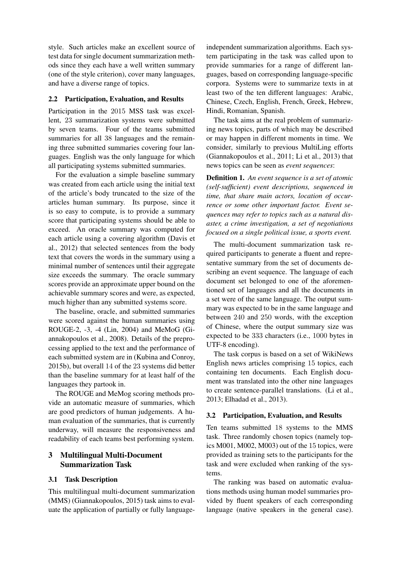style. Such articles make an excellent source of test data for single document summarization methods since they each have a well written summary (one of the style criterion), cover many languages, and have a diverse range of topics.

#### 2.2 Participation, Evaluation, and Results

Participation in the 2015 MSS task was excellent, 23 summarization systems were submitted by seven teams. Four of the teams submitted summaries for all 38 languages and the remaining three submitted summaries covering four languages. English was the only language for which all participating systems submitted summaries.

For the evaluation a simple baseline summary was created from each article using the initial text of the article's body truncated to the size of the articles human summary. Its purpose, since it is so easy to compute, is to provide a summary score that participating systems should be able to exceed. An oracle summary was computed for each article using a covering algorithm (Davis et al., 2012) that selected sentences from the body text that covers the words in the summary using a minimal number of sentences until their aggregate size exceeds the summary. The oracle summary scores provide an approximate upper bound on the achievable summary scores and were, as expected, much higher than any submitted systems score.

The baseline, oracle, and submitted summaries were scored against the human summaries using ROUGE-2, -3, -4 (Lin, 2004) and MeMoG (Giannakopoulos et al., 2008). Details of the preprocessing applied to the text and the performance of each submitted system are in (Kubina and Conroy, 2015b), but overall 14 of the 23 systems did better than the baseline summary for at least half of the languages they partook in.

The ROUGE and MeMog scoring methods provide an automatic measure of summaries, which are good predictors of human judgements. A human evaluation of the summaries, that is currently underway, will measure the responsiveness and readability of each teams best performing system.

## 3 Multilingual Multi-Document Summarization Task

#### 3.1 Task Description

This multilingual multi-document summarization (MMS) (Giannakopoulos, 2015) task aims to evaluate the application of partially or fully language-

independent summarization algorithms. Each system participating in the task was called upon to provide summaries for a range of different languages, based on corresponding language-specific corpora. Systems were to summarize texts in at least two of the ten different languages: Arabic, Chinese, Czech, English, French, Greek, Hebrew, Hindi, Romanian, Spanish.

The task aims at the real problem of summarizing news topics, parts of which may be described or may happen in different moments in time. We consider, similarly to previous MultiLing efforts (Giannakopoulos et al., 2011; Li et al., 2013) that news topics can be seen as *event sequences*:

Definition 1. *An event sequence is a set of atomic (self-sufficient) event descriptions, sequenced in time, that share main actors, location of occurrence or some other important factor. Event sequences may refer to topics such as a natural disaster, a crime investigation, a set of negotiations focused on a single political issue, a sports event.*

The multi-document summarization task required participants to generate a fluent and representative summary from the set of documents describing an event sequence. The language of each document set belonged to one of the aforementioned set of languages and all the documents in a set were of the same language. The output summary was expected to be in the same language and between 240 and 250 words, with the exception of Chinese, where the output summary size was expected to be 333 characters (i.e., 1000 bytes in UTF-8 encoding).

The task corpus is based on a set of WikiNews English news articles comprising 15 topics, each containing ten documents. Each English document was translated into the other nine languages to create sentence-parallel translations. (Li et al., 2013; Elhadad et al., 2013).

### 3.2 Participation, Evaluation, and Results

Ten teams submitted 18 systems to the MMS task. Three randomly chosen topics (namely topics M001, M002, M003) out of the 15 topics, were provided as training sets to the participants for the task and were excluded when ranking of the systems.

The ranking was based on automatic evaluations methods using human model summaries provided by fluent speakers of each corresponding language (native speakers in the general case).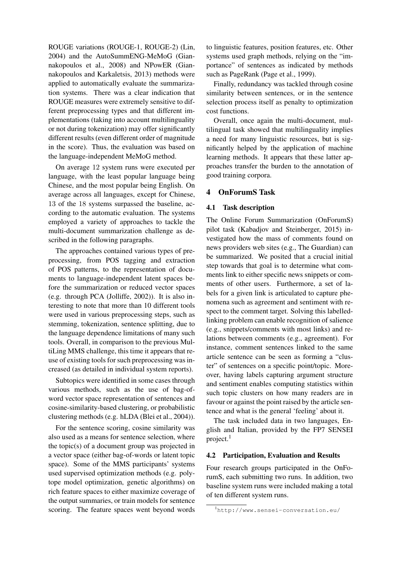ROUGE variations (ROUGE-1, ROUGE-2) (Lin, 2004) and the AutoSummENG-MeMoG (Giannakopoulos et al., 2008) and NPowER (Giannakopoulos and Karkaletsis, 2013) methods were applied to automatically evaluate the summarization systems. There was a clear indication that ROUGE measures were extremely sensitive to different preprocessing types and that different implementations (taking into account multilinguality or not during tokenization) may offer significantly different results (even different order of magnitude in the score). Thus, the evaluation was based on the language-independent MeMoG method.

On average 12 system runs were executed per language, with the least popular language being Chinese, and the most popular being English. On average across all languages, except for Chinese, 13 of the 18 systems surpassed the baseline, according to the automatic evaluation. The systems employed a variety of approaches to tackle the multi-document summarization challenge as described in the following paragraphs.

The approaches contained various types of preprocessing, from POS tagging and extraction of POS patterns, to the representation of documents to language-independent latent spaces before the summarization or reduced vector spaces (e.g. through PCA (Jolliffe, 2002)). It is also interesting to note that more than 10 different tools were used in various preprocessing steps, such as stemming, tokenization, sentence splitting, due to the language dependence limitations of many such tools. Overall, in comparison to the previous MultiLing MMS challenge, this time it appears that reuse of existing tools for such preprocessing was increased (as detailed in individual system reports).

Subtopics were identified in some cases through various methods, such as the use of bag-ofword vector space representation of sentences and cosine-similarity-based clustering, or probabilistic clustering methods (e.g. hLDA (Blei et al., 2004)).

For the sentence scoring, cosine similarity was also used as a means for sentence selection, where the topic(s) of a document group was projected in a vector space (either bag-of-words or latent topic space). Some of the MMS participants' systems used supervised optimization methods (e.g. polytope model optimization, genetic algorithms) on rich feature spaces to either maximize coverage of the output summaries, or train models for sentence scoring. The feature spaces went beyond words to linguistic features, position features, etc. Other systems used graph methods, relying on the "importance" of sentences as indicated by methods such as PageRank (Page et al., 1999).

Finally, redundancy was tackled through cosine similarity between sentences, or in the sentence selection process itself as penalty to optimization cost functions.

Overall, once again the multi-document, multilingual task showed that multilinguality implies a need for many linguistic resources, but is significantly helped by the application of machine learning methods. It appears that these latter approaches transfer the burden to the annotation of good training corpora.

## 4 OnForumS Task

#### 4.1 Task description

The Online Forum Summarization (OnForumS) pilot task (Kabadjov and Steinberger, 2015) investigated how the mass of comments found on news providers web sites (e.g., The Guardian) can be summarized. We posited that a crucial initial step towards that goal is to determine what comments link to either specific news snippets or comments of other users. Furthermore, a set of labels for a given link is articulated to capture phenomena such as agreement and sentiment with respect to the comment target. Solving this labelledlinking problem can enable recognition of salience (e.g., snippets/comments with most links) and relations between comments (e.g., agreement). For instance, comment sentences linked to the same article sentence can be seen as forming a "cluster" of sentences on a specific point/topic. Moreover, having labels capturing argument structure and sentiment enables computing statistics within such topic clusters on how many readers are in favour or against the point raised by the article sentence and what is the general 'feeling' about it.

The task included data in two languages, English and Italian, provided by the FP7 SENSEI project. $<sup>1</sup>$ </sup>

#### 4.2 Participation, Evaluation and Results

Four research groups participated in the OnForumS, each submitting two runs. In addition, two baseline system runs were included making a total of ten different system runs.

<sup>1</sup>http://www.sensei-conversation.eu/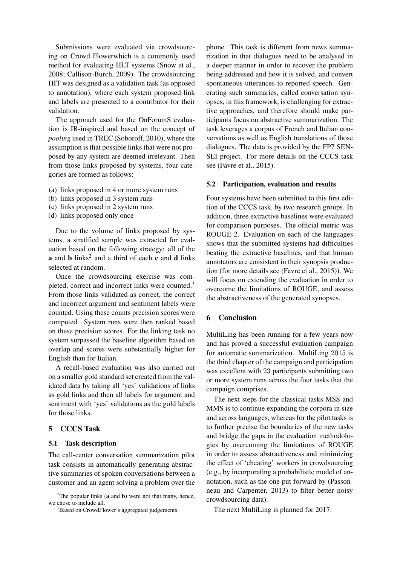Submissions were evaluated via crowdsourcing on Crowd Flowerwhich is a commonly used method for evaluating HLT systems (Snow et al., 2008; Callison-Burch, 2009). The crowdsourcing HIT was designed as a validation task (as opposed to annotation), where each system proposed link and labels are presented to a contributor for their validation.

The approach used for the OnForumS evaluation is IR-inspired and based on the concept of *pooling* used in TREC (Soboroff, 2010), where the assumption is that possible links that were not proposed by any system are deemed irrelevant. Then from those links proposed by systems, four categories are formed as follows:

- (a) links proposed in 4 or more system runs
- (b) links proposed in 3 system runs
- (c) links proposed in 2 system runs
- (d) links proposed only once

Due to the volume of links proposed by systems, a stratified sample was extracted for evaluation based on the following strategy: all of the **a** and **b** links<sup>2</sup> and a third of each **c** and **d** links selected at random.

Once the crowdsourcing exercise was completed, correct and incorrect links were counted.<sup>3</sup> From those links validated as correct, the correct and incorrect argument and sentiment labels were counted. Using these counts precision scores were computed. System runs were then ranked based on these precision scores. For the linking task no system surpassed the baseline algorithm based on overlap and scores were substantially higher for English than for Italian.

A recall-based evaluation was also carried out on a smaller gold standard set created from the validated data by taking all 'yes' validations of links as gold links and then all labels for argument and sentiment with 'yes' validations as the gold labels for those links.

### 5 CCCS Task

#### 5.1 Task description

The call-center conversation summarization pilot task consists in automatically generating abstractive summaries of spoken conversations between a customer and an agent solving a problem over the phone. This task is different from news summarization in that dialogues need to be analysed in a deeper manner in order to recover the problem being addressed and how it is solved, and convert spontaneous utterances to reported speech. Generating such summaries, called conversation synopses, in this framework, is challenging for extractive approaches, and therefore should make participants focus on abstractive summarization. The task leverages a corpus of French and Italian conversations as well as English translations of those dialogues. The data is provided by the FP7 SEN-SEI project. For more details on the CCCS task see (Favre et al., 2015).

#### 5.2 Participation, evaluation and results

Four systems have been submitted to this first edition of the CCCS task, by two research groups. In addition, three extractive baselines were evaluated for comparison purposes. The official metric was ROUGE-2. Evaluation on each of the languages shows that the submitted systems had difficulties beating the extractive baselines, and that human annotators are consistent in their synopsis production (for more details see (Favre et al., 2015)). We will focus on extending the evaluation in order to overcome the limitations of ROUGE, and assess the abstractiveness of the generated synopses.

#### 6 Conclusion

MultiLing has been running for a few years now and has proved a successful evaluation campaign for automatic summarization. MultiLing 2015 is the third chapter of the campaign and participation was excellent with 23 participants submitting two or more system runs across the four tasks that the campaign comprises.

The next steps for the classical tasks MSS and MMS is to continue expanding the corpora in size and across languages, whereas for the pilot tasks is to further precise the boundaries of the new tasks and bridge the gaps in the evaluation methodologies by overcoming the limitations of ROUGE in order to assess abstractiveness and minimizing the effect of 'cheating' workers in crowdsourcing (e.g., by incorporating a probabilistic model of annotation, such as the one put forward by (Passonneau and Carpenter, 2013) to filter better noisy crowdsourcing data).

The next MultiLing is planned for 2017.

<sup>&</sup>lt;sup>2</sup>The popular links (**a** and **b**) were not that many, hence, we chose to include all.

<sup>&</sup>lt;sup>3</sup>Based on CrowdFlower's aggregated judgements.